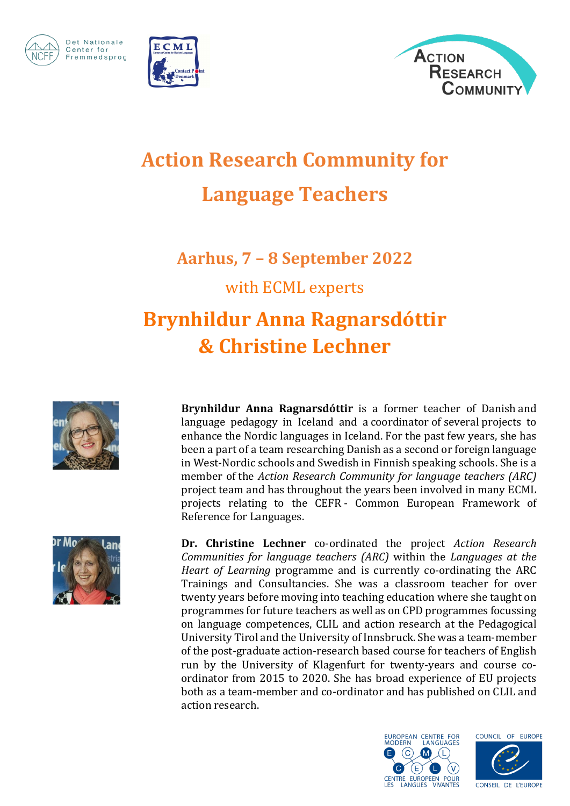

Det Nationale

Fremmedsprog

Center for





## **Action Research Community for Language Teachers**

**Aarhus, 7 – 8 September 2022**

with ECML experts

## **Brynhildur Anna Ragnarsdóttir & Christine Lechner**



**Brynhildur Anna Ragnarsdóttir** is a former teacher of Danish and language pedagogy in Iceland and a coordinator of several projects to enhance the Nordic languages in Iceland. For the past few years, she has been a part of a team researching Danish as a second or foreign language in West-Nordic schools and Swedish in Finnish speaking schools. She is a member of the *Action Research Community for language teachers (ARC)* project team and has throughout the years been involved in many ECML projects relating to the CEFR - Common European Framework of Reference for Languages.



**Dr. Christine Lechner** co-ordinated the project *Action Research Communities for language teachers (ARC)* within the *Languages at the Heart of Learning* programme and is currently co-ordinating the ARC Trainings and Consultancies. She was a classroom teacher for over twenty years before moving into teaching education where she taught on programmes for future teachers as well as on CPD programmes focussing on language competences, CLIL and action research at the Pedagogical University Tirol and the University of Innsbruck. She was a team-member of the post-graduate action-research based course for teachers of English run by the University of Klagenfurt for twenty-years and course coordinator from 2015 to 2020. She has broad experience of EU projects both as a team-member and co-ordinator and has published on CLIL and action research.



COUNCIL OF EUROPE

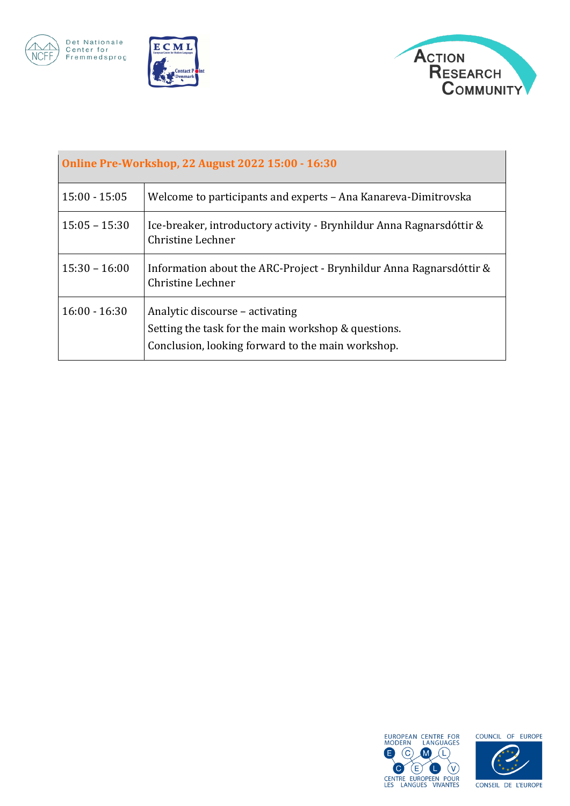

Det Nationale<br>Center for<br>Fremmedsprog





| <b>Online Pre-Workshop, 22 August 2022 15:00 - 16:30</b> |                                                                                                                                             |  |
|----------------------------------------------------------|---------------------------------------------------------------------------------------------------------------------------------------------|--|
| $15:00 - 15:05$                                          | Welcome to participants and experts - Ana Kanareva-Dimitrovska                                                                              |  |
| $15:05 - 15:30$                                          | Ice-breaker, introductory activity - Brynhildur Anna Ragnarsdóttir &<br>Christine Lechner                                                   |  |
| $15:30 - 16:00$                                          | Information about the ARC-Project - Brynhildur Anna Ragnarsdóttir &<br>Christine Lechner                                                    |  |
| $16:00 - 16:30$                                          | Analytic discourse – activating<br>Setting the task for the main workshop & questions.<br>Conclusion, looking forward to the main workshop. |  |





CONSEIL DE L'EUROPE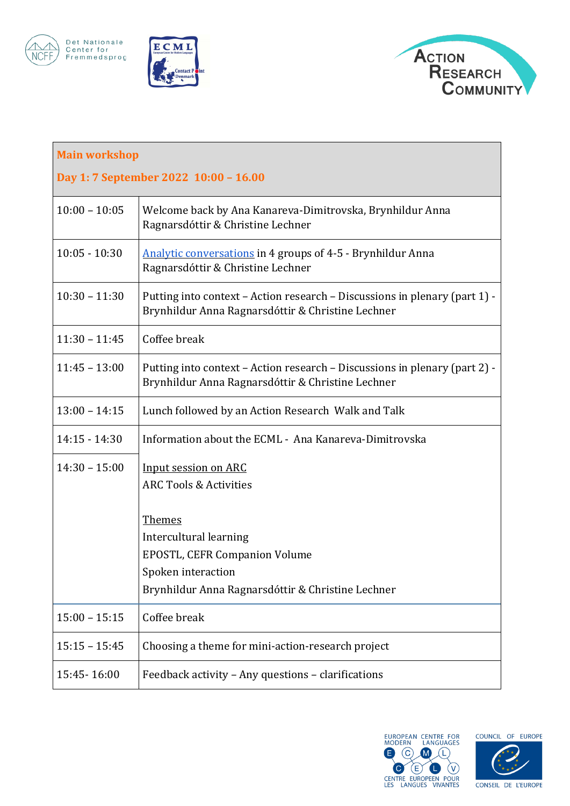







| <b>Main workshop</b>                  |                                                                                                                                 |  |
|---------------------------------------|---------------------------------------------------------------------------------------------------------------------------------|--|
| Day 1: 7 September 2022 10:00 - 16.00 |                                                                                                                                 |  |
| $10:00 - 10:05$                       | Welcome back by Ana Kanareva-Dimitrovska, Brynhildur Anna<br>Ragnarsdóttir & Christine Lechner                                  |  |
| $10:05 - 10:30$                       | <b>Analytic conversations in 4 groups of 4-5 - Brynhildur Anna</b><br>Ragnarsdóttir & Christine Lechner                         |  |
| $10:30 - 11:30$                       | Putting into context - Action research - Discussions in plenary (part 1) -<br>Brynhildur Anna Ragnarsdóttir & Christine Lechner |  |
| $11:30 - 11:45$                       | Coffee break                                                                                                                    |  |
| $11:45 - 13:00$                       | Putting into context - Action research - Discussions in plenary (part 2) -<br>Brynhildur Anna Ragnarsdóttir & Christine Lechner |  |
| $13:00 - 14:15$                       | Lunch followed by an Action Research Walk and Talk                                                                              |  |
| $14:15 - 14:30$                       | Information about the ECML - Ana Kanareva-Dimitrovska                                                                           |  |
| $14:30 - 15:00$                       | Input session on ARC<br><b>ARC Tools &amp; Activities</b>                                                                       |  |
|                                       | <b>Themes</b>                                                                                                                   |  |
|                                       | Intercultural learning                                                                                                          |  |
|                                       | <b>EPOSTL, CEFR Companion Volume</b>                                                                                            |  |
|                                       | Spoken interaction                                                                                                              |  |
|                                       | Brynhildur Anna Ragnarsdóttir & Christine Lechner                                                                               |  |
| $15:00 - 15:15$                       | Coffee break                                                                                                                    |  |
| $15:15 - 15:45$                       | Choosing a theme for mini-action-research project                                                                               |  |
| 15:45-16:00                           | Feedback activity - Any questions - clarifications                                                                              |  |